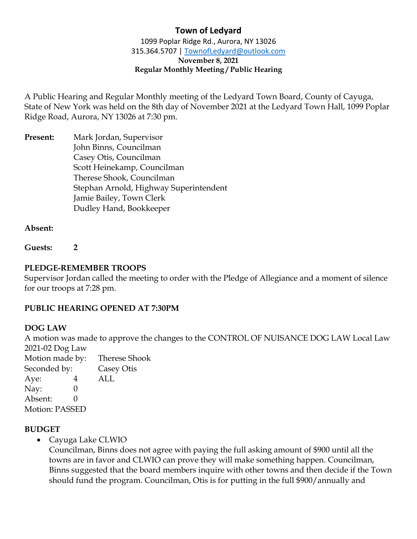1099 Poplar Ridge Rd., Aurora, NY 13026 315.364.5707 | [TownofLedyard@outlook.com](mailto:TownofLedyard@outlook.com) **November 8, 2021 Regular Monthly Meeting / Public Hearing**

A Public Hearing and Regular Monthly meeting of the Ledyard Town Board, County of Cayuga, State of New York was held on the 8th day of November 2021 at the Ledyard Town Hall, 1099 Poplar Ridge Road, Aurora, NY 13026 at 7:30 pm.

**Present:** Mark Jordan, Supervisor John Binns, Councilman Casey Otis, Councilman Scott Heinekamp, Councilman Therese Shook, Councilman Stephan Arnold, Highway Superintendent Jamie Bailey, Town Clerk Dudley Hand, Bookkeeper

## **Absent:**

**Guests: 2**

## **PLEDGE-REMEMBER TROOPS**

Supervisor Jordan called the meeting to order with the Pledge of Allegiance and a moment of silence for our troops at 7:28 pm.

#### **PUBLIC HEARING OPENED AT 7:30PM**

#### **DOG LAW**

A motion was made to approve the changes to the CONTROL OF NUISANCE DOG LAW Local Law 2021-02 Dog Law

Motion made by: Therese Shook Seconded by: Casey Otis Aye: 4 ALL Nay: 0 Absent: 0 Motion: PASSED

# **BUDGET**

• Cayuga Lake CLWIO

Councilman, Binns does not agree with paying the full asking amount of \$900 until all the towns are in favor and CLWIO can prove they will make something happen. Councilman, Binns suggested that the board members inquire with other towns and then decide if the Town should fund the program. Councilman, Otis is for putting in the full \$900/annually and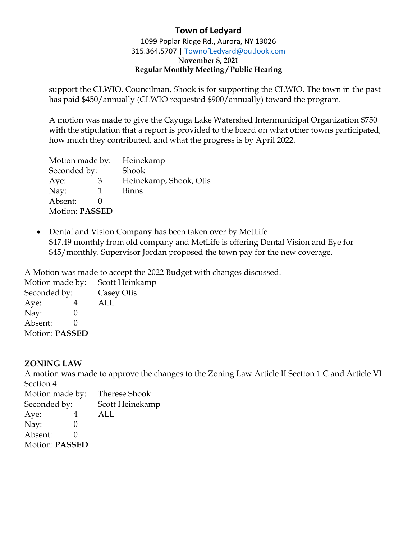1099 Poplar Ridge Rd., Aurora, NY 13026 315.364.5707 | [TownofLedyard@outlook.com](mailto:TownofLedyard@outlook.com) **November 8, 2021 Regular Monthly Meeting / Public Hearing**

support the CLWIO. Councilman, Shook is for supporting the CLWIO. The town in the past has paid \$450/annually (CLWIO requested \$900/annually) toward the program.

A motion was made to give the Cayuga Lake Watershed Intermunicipal Organization \$750 with the stipulation that a report is provided to the board on what other towns participated, how much they contributed, and what the progress is by April 2022.

| Motion made by:       |   | Heinekamp              |
|-----------------------|---|------------------------|
| Seconded by:          |   | <b>Shook</b>           |
| Aye:                  | 3 | Heinekamp, Shook, Otis |
| Nay:                  | 1 | <b>Binns</b>           |
| Absent:               |   |                        |
| <b>Motion: PASSED</b> |   |                        |

• Dental and Vision Company has been taken over by MetLife \$47.49 monthly from old company and MetLife is offering Dental Vision and Eye for \$45/monthly. Supervisor Jordan proposed the town pay for the new coverage.

A Motion was made to accept the 2022 Budget with changes discussed.

Motion made by: Scott Heinkamp Seconded by: Casey Otis Aye: 4 ALL Nay: 0 Absent: 0 Motion: **PASSED**

# **ZONING LAW**

A motion was made to approve the changes to the Zoning Law Article II Section 1 C and Article VI Section 4.

Motion made by: Therese Shook Seconded by: Scott Heinekamp Aye: 4 ALL Nay: 0 Absent: 0 Motion: **PASSED**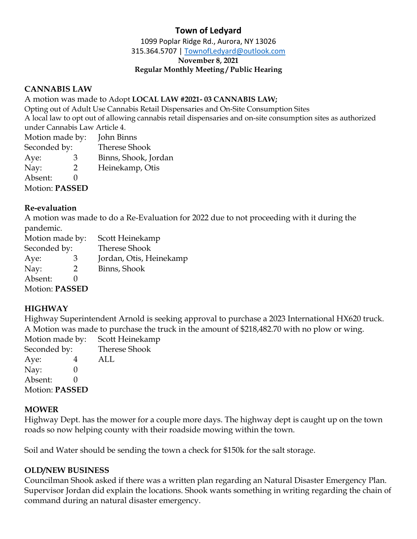1099 Poplar Ridge Rd., Aurora, NY 13026

315.364.5707 | [TownofLedyard@outlook.com](mailto:TownofLedyard@outlook.com)

**November 8, 2021**

#### **Regular Monthly Meeting / Public Hearing**

## **CANNABIS LAW**

A motion was made to Adopt **LOCAL LAW #2021- 03 CANNABIS LAW;**

Opting out of Adult Use Cannabis Retail Dispensaries and On-Site Consumption Sites A local law to opt out of allowing cannabis retail dispensaries and on-site consumption sites as authorized under Cannabis Law Article 4.

Motion made by: John Binns Seconded by: Therese Shook Aye: 3 Binns, Shook, Jordan Nay: 2 Heinekamp, Otis Absent: 0 Motion: **PASSED**

# **Re-evaluation**

A motion was made to do a Re-Evaluation for 2022 due to not proceeding with it during the pandemic.

Motion made by: Scott Heinekamp Seconded by: Therese Shook Aye: 3 Jordan, Otis, Heinekamp Nay: 2 Binns, Shook Absent: 0 Motion: **PASSED**

# **HIGHWAY**

Highway Superintendent Arnold is seeking approval to purchase a 2023 International HX620 truck. A Motion was made to purchase the truck in the amount of \$218,482.70 with no plow or wing.

Motion made by: Scott Heinekamp Seconded by: Therese Shook Aye: 4 ALL Nav: 0 Absent: 0 Motion: **PASSED**

# **MOWER**

Highway Dept. has the mower for a couple more days. The highway dept is caught up on the town roads so now helping county with their roadside mowing within the town.

Soil and Water should be sending the town a check for \$150k for the salt storage.

# **OLD/NEW BUSINESS**

Councilman Shook asked if there was a written plan regarding an Natural Disaster Emergency Plan. Supervisor Jordan did explain the locations. Shook wants something in writing regarding the chain of command during an natural disaster emergency.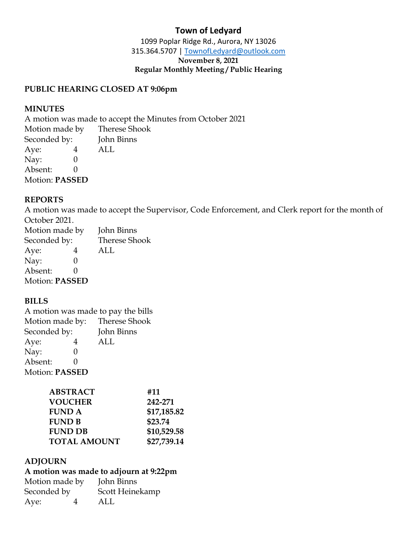1099 Poplar Ridge Rd., Aurora, NY 13026 315.364.5707 | [TownofLedyard@outlook.com](mailto:TownofLedyard@outlook.com) **November 8, 2021 Regular Monthly Meeting / Public Hearing**

## **PUBLIC HEARING CLOSED AT 9:06pm**

#### **MINUTES**

A motion was made to accept the Minutes from October 2021  $M_{\odot}$  made by Therese Shooking and  $M_{\odot}$ 

| Motion made by        |  | Therese Shook |
|-----------------------|--|---------------|
| Seconded by:          |  | John Binns    |
| Aye:                  |  | ALL.          |
| Nay:                  |  |               |
| Absent:               |  |               |
| <b>Motion: PASSED</b> |  |               |
|                       |  |               |

## **REPORTS**

A motion was made to accept the Supervisor, Code Enforcement, and Clerk report for the month of October 2021.

| Motion made by        |   | John Binns           |
|-----------------------|---|----------------------|
| Seconded by:          |   | <b>Therese Shook</b> |
| Aye:                  | 4 | ALL                  |
| Nay:                  | 0 |                      |
| Absent:               |   |                      |
| <b>Motion: PASSED</b> |   |                      |

#### **BILLS**

A motion was made to pay the bills Motion made by: Therese Shook Seconded by: John Binns Aye: 4 ALL Nay: 0 Absent: 0 Motion: **PASSED**

| <b>ABSTRACT</b>     | #11         |
|---------------------|-------------|
| <b>VOUCHER</b>      | 242-271     |
| <b>FUND A</b>       | \$17,185.82 |
| <b>FUND B</b>       | \$23.74     |
| <b>FUND DB</b>      | \$10,529.58 |
| <b>TOTAL AMOUNT</b> | \$27,739.14 |
|                     |             |

# **ADJOURN**

# **A motion was made to adjourn at 9:22pm**

Motion made by John Binns Seconded by Scott Heinekamp Aye: 4 ALL